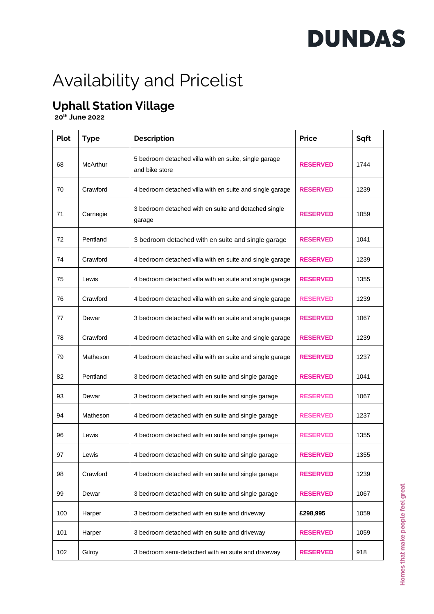## **DUNDAS**

### Availability and Pricelist

### **Uphall Station Village**

 **20th June 2022**

| <b>Plot</b> | <b>Type</b> | <b>Description</b>                                                      | <b>Price</b>    | Sqft |
|-------------|-------------|-------------------------------------------------------------------------|-----------------|------|
| 68          | McArthur    | 5 bedroom detached villa with en suite, single garage<br>and bike store | <b>RESERVED</b> | 1744 |
| 70          | Crawford    | 4 bedroom detached villa with en suite and single garage                | <b>RESERVED</b> | 1239 |
| 71          | Carnegie    | 3 bedroom detached with en suite and detached single<br>garage          | <b>RESERVED</b> | 1059 |
| 72          | Pentland    | 3 bedroom detached with en suite and single garage                      | <b>RESERVED</b> | 1041 |
| 74          | Crawford    | 4 bedroom detached villa with en suite and single garage                | <b>RESERVED</b> | 1239 |
| 75          | Lewis       | 4 bedroom detached villa with en suite and single garage                | <b>RESERVED</b> | 1355 |
| 76          | Crawford    | 4 bedroom detached villa with en suite and single garage                | <b>RESERVED</b> | 1239 |
| 77          | Dewar       | 3 bedroom detached villa with en suite and single garage                | <b>RESERVED</b> | 1067 |
| 78          | Crawford    | 4 bedroom detached villa with en suite and single garage                | <b>RESERVED</b> | 1239 |
| 79          | Matheson    | 4 bedroom detached villa with en suite and single garage                | <b>RESERVED</b> | 1237 |
| 82          | Pentland    | 3 bedroom detached with en suite and single garage                      | <b>RESERVED</b> | 1041 |
| 93          | Dewar       | 3 bedroom detached with en suite and single garage                      | <b>RESERVED</b> | 1067 |
| 94          | Matheson    | 4 bedroom detached with en suite and single garage                      | <b>RESERVED</b> | 1237 |
| 96          | Lewis       | 4 bedroom detached with en suite and single garage                      | <b>RESERVED</b> | 1355 |
| 97          | Lewis       | 4 bedroom detached with en suite and single garage                      | <b>RESERVED</b> | 1355 |
| 98          | Crawford    | 4 bedroom detached with en suite and single garage                      | <b>RESERVED</b> | 1239 |
| 99          | Dewar       | 3 bedroom detached with en suite and single garage                      | <b>RESERVED</b> | 1067 |
| 100         | Harper      | 3 bedroom detached with en suite and driveway                           | £298,995        | 1059 |
| 101         | Harper      | 3 bedroom detached with en suite and driveway                           | <b>RESERVED</b> | 1059 |
| 102         | Gilroy      | 3 bedroom semi-detached with en suite and driveway                      | <b>RESERVED</b> | 918  |